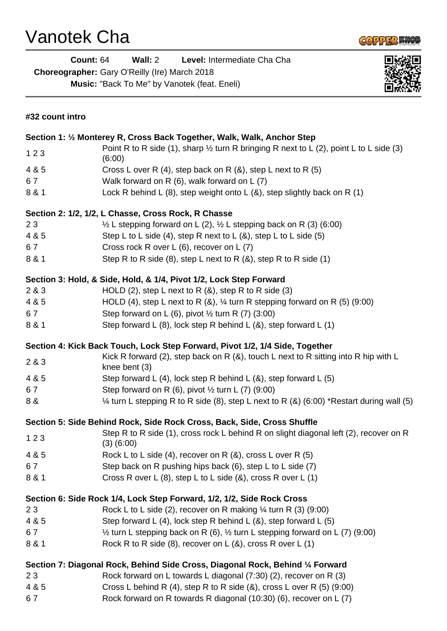## Vanotek Cha



**Count:** 64 **Wall:** 2 **Level:** Intermediate Cha Cha **Choreographer:** Gary O'Reilly (Ire) March 2018 **Music:** "Back To Me" by Vanotek (feat. Eneli)



| #32 count intro                                                                |                                                                                                             |
|--------------------------------------------------------------------------------|-------------------------------------------------------------------------------------------------------------|
| Section 1: 1/2 Monterey R, Cross Back Together, Walk, Walk, Anchor Step        |                                                                                                             |
| 123                                                                            | Point R to R side (1), sharp $\frac{1}{2}$ turn R bringing R next to L (2), point L to L side (3)<br>(6:00) |
| 4 & 5                                                                          | Cross L over R (4), step back on R $(8)$ , step L next to R $(5)$                                           |
| 67                                                                             | Walk forward on R (6), walk forward on L (7)                                                                |
| 8 & 1                                                                          | Lock R behind L $(8)$ , step weight onto L $(8)$ , step slightly back on R $(1)$                            |
| Section 2: 1/2, 1/2, L Chasse, Cross Rock, R Chasse                            |                                                                                                             |
| 23                                                                             | $\frac{1}{2}$ L stepping forward on L (2), $\frac{1}{2}$ L stepping back on R (3) (6:00)                    |
| 4 & 5                                                                          | Step L to L side (4), step R next to L $(8)$ , step L to L side (5)                                         |
| 67                                                                             | Cross rock R over L (6), recover on L (7)                                                                   |
| 8 & 1                                                                          | Step R to R side (8), step L next to R $(8)$ , step R to R side (1)                                         |
| Section 3: Hold, & Side, Hold, & 1/4, Pivot 1/2, Lock Step Forward             |                                                                                                             |
| 2 & 3                                                                          | HOLD (2), step L next to R $(8)$ , step R to R side (3)                                                     |
| 4 & 5                                                                          | HOLD (4), step L next to R $(8)$ , $\frac{1}{4}$ turn R stepping forward on R $(5)$ (9:00)                  |
| 67                                                                             | Step forward on L (6), pivot $\frac{1}{2}$ turn R (7) (3:00)                                                |
| 8 & 1                                                                          | Step forward L $(8)$ , lock step R behind L $(8)$ , step forward L $(1)$                                    |
| Section 4: Kick Back Touch, Lock Step Forward, Pivot 1/2, 1/4 Side, Together   |                                                                                                             |
| 2 & 3                                                                          | Kick R forward (2), step back on R $(8)$ , touch L next to R sitting into R hip with L<br>knee bent (3)     |
| 4 & 5                                                                          | Step forward L (4), lock step R behind L (8), step forward L (5)                                            |
| 67                                                                             | Step forward on R $(6)$ , pivot $\frac{1}{2}$ turn L $(7)$ $(9:00)$                                         |
| 8 &                                                                            | $\frac{1}{4}$ turn L stepping R to R side (8), step L next to R (8) (6:00) *Restart during wall (5)         |
| Section 5: Side Behind Rock, Side Rock Cross, Back, Side, Cross Shuffle        |                                                                                                             |
| 123                                                                            | Step R to R side (1), cross rock L behind R on slight diagonal left (2), recover on R<br>$(3)$ $(6:00)$     |
| 4 & 5                                                                          | Rock L to L side (4), recover on R $(8)$ , cross L over R $(5)$                                             |
| 67                                                                             | Step back on R pushing hips back (6), step L to L side (7)                                                  |
| 8 & 1                                                                          | Cross R over L $(8)$ , step L to L side $(8)$ , cross R over L $(1)$                                        |
| Section 6: Side Rock 1/4, Lock Step Forward, 1/2, 1/2, Side Rock Cross         |                                                                                                             |
| 23                                                                             | Rock L to L side (2), recover on R making $\frac{1}{4}$ turn R (3) (9:00)                                   |
| 4 & 5                                                                          | Step forward L (4), lock step R behind L (8), step forward L (5)                                            |
| 67                                                                             | $\frac{1}{2}$ turn L stepping back on R (6), $\frac{1}{2}$ turn L stepping forward on L (7) (9:00)          |
| 8 & 1                                                                          | Rock R to R side (8), recover on $L(8)$ , cross R over L (1)                                                |
| Section 7: Diagonal Rock, Behind Side Cross, Diagonal Rock, Behind 1/4 Forward |                                                                                                             |
| 23                                                                             | Rock forward on L towards L diagonal $(7:30)$ (2), recover on R (3)                                         |
| 4 & 5                                                                          | Cross L behind R $(4)$ , step R to R side $(8)$ , cross L over R $(5)$ $(9:00)$                             |
| 67                                                                             | Rock forward on R towards R diagonal (10:30) (6), recover on L (7)                                          |